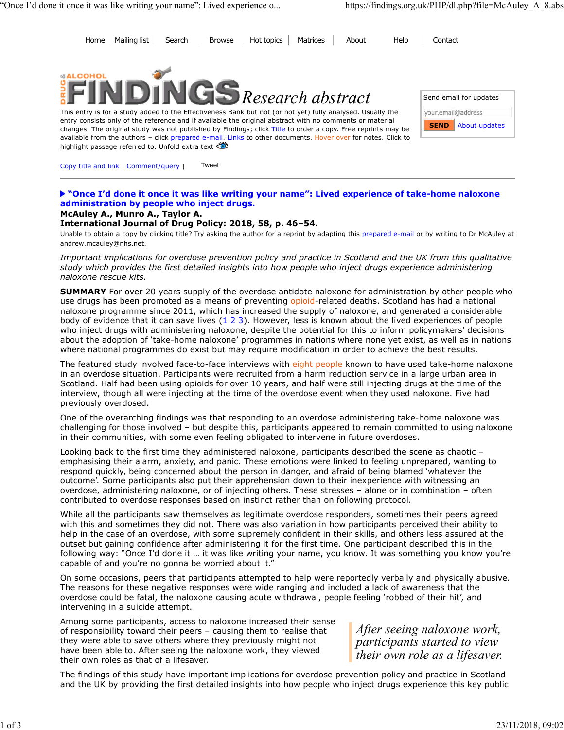Home Mailing list Search Browse Hot topics Matrices About Help Contact



This entry is for a study added to the Effectiveness Bank but not (or not yet) fully analysed. Usually the entry consists only of the reference and if available the original abstract with no comments or material changes. The original study was not published by Findings; click Title to order a copy. Free reprints may be available from the authors - click prepared e-mail. Links to other documents. Hover over for notes. Click to highlight passage referred to. Unfold extra text

|             | Send email for updates |
|-------------|------------------------|
|             | ur.email@address       |
| <b>SEND</b> | About updates          |
|             |                        |

Copy title and link | Comment/query | Tweet

## **"Once I'd done it once it was like writing your name": Lived experience of take-home naloxone administration by people who inject drugs.**

## **McAuley A., Munro A., Taylor A.**

## **International Journal of Drug Policy: 2018, 58, p. 46–54.**

Unable to obtain a copy by clicking title? Try asking the author for a reprint by adapting this prepared e-mail or by writing to Dr McAuley at andrew.mcauley@nhs.net.

*Important implications for overdose prevention policy and practice in Scotland and the UK from this qualitative study which provides the first detailed insights into how people who inject drugs experience administering naloxone rescue kits.*

**SUMMARY** For over 20 years supply of the overdose antidote naloxone for administration by other people who use drugs has been promoted as a means of preventing opioid-related deaths. Scotland has had a national naloxone programme since 2011, which has increased the supply of naloxone, and generated a considerable body of evidence that it can save lives (1 2 3). However, less is known about the lived experiences of people who inject drugs with administering naloxone, despite the potential for this to inform policymakers' decisions about the adoption of 'take-home naloxone' programmes in nations where none yet exist, as well as in nations where national programmes do exist but may require modification in order to achieve the best results.

The featured study involved face-to-face interviews with eight people known to have used take-home naloxone in an overdose situation. Participants were recruited from a harm reduction service in a large urban area in Scotland. Half had been using opioids for over 10 years, and half were still injecting drugs at the time of the interview, though all were injecting at the time of the overdose event when they used naloxone. Five had previously overdosed.

One of the overarching findings was that responding to an overdose administering take-home naloxone was challenging for those involved – but despite this, participants appeared to remain committed to using naloxone in their communities, with some even feeling obligated to intervene in future overdoses.

Looking back to the first time they administered naloxone, participants described the scene as chaotic – emphasising their alarm, anxiety, and panic. These emotions were linked to feeling unprepared, wanting to respond quickly, being concerned about the person in danger, and afraid of being blamed 'whatever the outcome'. Some participants also put their apprehension down to their inexperience with witnessing an overdose, administering naloxone, or of injecting others. These stresses – alone or in combination – often contributed to overdose responses based on instinct rather than on following protocol.

While all the participants saw themselves as legitimate overdose responders, sometimes their peers agreed with this and sometimes they did not. There was also variation in how participants perceived their ability to help in the case of an overdose, with some supremely confident in their skills, and others less assured at the outset but gaining confidence after administering it for the first time. One participant described this in the following way: "Once I'd done it … it was like writing your name, you know. It was something you know you're capable of and you're no gonna be worried about it.'

On some occasions, peers that participants attempted to help were reportedly verbally and physically abusive. The reasons for these negative responses were wide ranging and included a lack of awareness that the overdose could be fatal, the naloxone causing acute withdrawal, people feeling 'robbed of their hit', and intervening in a suicide attempt.

Among some participants, access to naloxone increased their sense of responsibility toward their peers – causing them to realise that they were able to save others where they previously might not have been able to. After seeing the naloxone work, they viewed their own roles as that of a lifesaver.

*After seeing naloxone work, participants started to view their own role as a lifesaver.*

The findings of this study have important implications for overdose prevention policy and practice in Scotland and the UK by providing the first detailed insights into how people who inject drugs experience this key public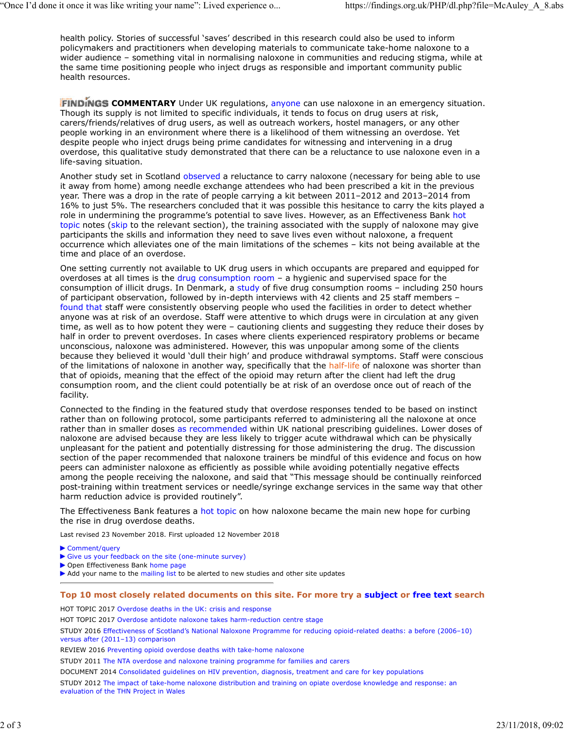health policy. Stories of successful 'saves' described in this research could also be used to inform policymakers and practitioners when developing materials to communicate take-home naloxone to a wider audience – something vital in normalising naloxone in communities and reducing stigma, while at the same time positioning people who inject drugs as responsible and important community public health resources.

**FINDINGS COMMENTARY** Under UK regulations, anyone can use naloxone in an emergency situation. Though its supply is not limited to specific individuals, it tends to focus on drug users at risk, carers/friends/relatives of drug users, as well as outreach workers, hostel managers, or any other people working in an environment where there is a likelihood of them witnessing an overdose. Yet despite people who inject drugs being prime candidates for witnessing and intervening in a drug overdose, this qualitative study demonstrated that there can be a reluctance to use naloxone even in a life-saving situation.

Another study set in Scotland observed a reluctance to carry naloxone (necessary for being able to use it away from home) among needle exchange attendees who had been prescribed a kit in the previous year. There was a drop in the rate of people carrying a kit between 2011–2012 and 2013–2014 from 16% to just 5%. The researchers concluded that it was possible this hesitance to carry the kits played a role in undermining the programme's potential to save lives. However, as an Effectiveness Bank hot topic notes (skip to the relevant section), the training associated with the supply of naloxone may give participants the skills and information they need to save lives even without naloxone, a frequent occurrence which alleviates one of the main limitations of the schemes – kits not being available at the time and place of an overdose.

One setting currently not available to UK drug users in which occupants are prepared and equipped for overdoses at all times is the drug consumption room – a hygienic and supervised space for the consumption of illicit drugs. In Denmark, a study of five drug consumption rooms - including 250 hours of participant observation, followed by in-depth interviews with 42 clients and 25 staff members – found that staff were consistently observing people who used the facilities in order to detect whether anyone was at risk of an overdose. Staff were attentive to which drugs were in circulation at any given time, as well as to how potent they were – cautioning clients and suggesting they reduce their doses by half in order to prevent overdoses. In cases where clients experienced respiratory problems or became unconscious, naloxone was administered. However, this was unpopular among some of the clients because they believed it would 'dull their high' and produce withdrawal symptoms. Staff were conscious of the limitations of naloxone in another way, specifically that the half-life of naloxone was shorter than that of opioids, meaning that the effect of the opioid may return after the client had left the drug consumption room, and the client could potentially be at risk of an overdose once out of reach of the facility.

Connected to the finding in the featured study that overdose responses tended to be based on instinct rather than on following protocol, some participants referred to administering all the naloxone at once rather than in smaller doses as recommended within UK national prescribing guidelines. Lower doses of naloxone are advised because they are less likely to trigger acute withdrawal which can be physically unpleasant for the patient and potentially distressing for those administering the drug. The discussion section of the paper recommended that naloxone trainers be mindful of this evidence and focus on how peers can administer naloxone as efficiently as possible while avoiding potentially negative effects among the people receiving the naloxone, and said that "This message should be continually reinforced post-training within treatment services or needle/syringe exchange services in the same way that other harm reduction advice is provided routinely".

The Effectiveness Bank features a hot topic on how naloxone became the main new hope for curbing the rise in drug overdose deaths.

Last revised 23 November 2018. First uploaded 12 November 2018

- ▶ Comment/query
- Give us your feedback on the site (one-minute survey)
- ▶ Open Effectiveness Bank home page

Add your name to the mailing list to be alerted to new studies and other site updates

## **Top 10 most closely related documents on this site. For more try a subject or free text search**

HOT TOPIC 2017 Overdose deaths in the UK: crisis and response

HOT TOPIC 2017 Overdose antidote naloxone takes harm-reduction centre stage

STUDY 2016 Effectiveness of Scotland's National Naloxone Programme for reducing opioid-related deaths: a before (2006–10) versus after (2011–13) comparison

REVIEW 2016 Preventing opioid overdose deaths with take-home naloxone

STUDY 2011 The NTA overdose and naloxone training programme for families and carers

DOCUMENT 2014 Consolidated guidelines on HIV prevention, diagnosis, treatment and care for key populations

STUDY 2012 The impact of take-home naloxone distribution and training on opiate overdose knowledge and response: an evaluation of the THN Project in Wales